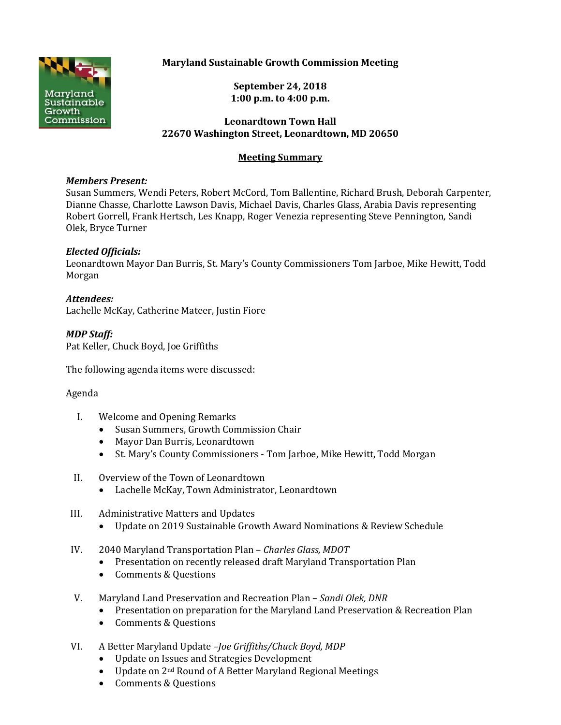

# **Maryland Sustainable Growth Commission Meeting**

**September 24, 2018 1:00 p.m. to 4:00 p.m.**

#### **Leonardtown Town Hall 22670 Washington Street, Leonardtown, MD 20650**

# **Meeting Summary**

#### *Members Present:*

Susan Summers, Wendi Peters, Robert McCord, Tom Ballentine, Richard Brush, Deborah Carpenter, Dianne Chasse, Charlotte Lawson Davis, Michael Davis, Charles Glass, Arabia Davis representing Robert Gorrell, Frank Hertsch, Les Knapp, Roger Venezia representing Steve Pennington, Sandi Olek, Bryce Turner

# *Elected Officials:*

Leonardtown Mayor Dan Burris, St. Mary's County Commissioners Tom Jarboe, Mike Hewitt, Todd Morgan

# *Attendees:*

Lachelle McKay, Catherine Mateer, Justin Fiore

# *MDP Staff:*

Pat Keller, Chuck Boyd, Joe Griffiths

The following agenda items were discussed:

# Agenda

- I. Welcome and Opening Remarks
	- Susan Summers, Growth Commission Chair
	- Mayor Dan Burris, Leonardtown
	- St. Mary's County Commissioners Tom Jarboe, Mike Hewitt, Todd Morgan
- II. Overview of the Town of Leonardtown
	- Lachelle McKay, Town Administrator, Leonardtown
- III. Administrative Matters and Updates
	- Update on 2019 Sustainable Growth Award Nominations & Review Schedule
- IV. 2040 Maryland Transportation Plan *Charles Glass, MDOT*
	- Presentation on recently released draft Maryland Transportation Plan
	- Comments & Questions
- V. Maryland Land Preservation and Recreation Plan *Sandi Olek, DNR*
	- Presentation on preparation for the Maryland Land Preservation & Recreation Plan
	- Comments & Questions
- VI. A Better Maryland Update –*Joe Griffiths/Chuck Boyd, MDP*
	- Update on Issues and Strategies Development
	- Update on 2<sup>nd</sup> Round of A Better Maryland Regional Meetings
	- Comments & Questions